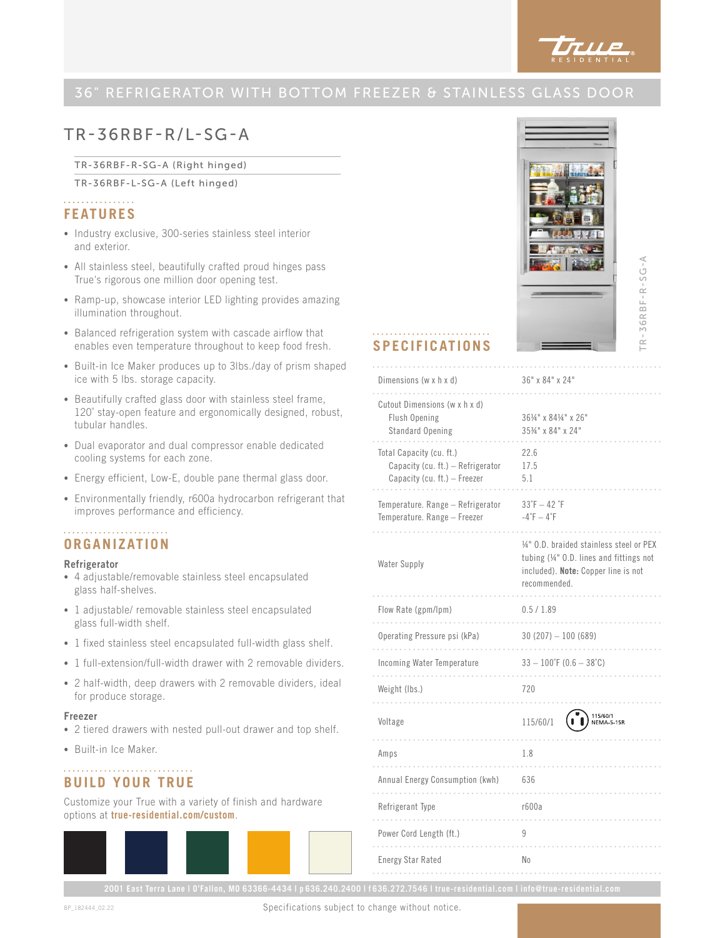

### 36" REFRIGERATOR WITH BOTTOM FREEZER & STAINLESS GLASS DOOR

**SPECIFICATIONS**

Cutout Dimensions (w x h x d) Flush Opening Standard Opening

Capacity (cu. ft.) – Refrigerator Capacity (cu. ft.) – Freezer

Temperature. Range – Refrigerator Temperature. Range – Freezer

Flow Rate (gpm/lpm) 0.5 / 1.89

Weight (Ibs.) 720

Amps 1.8

Annual Energy Consumption (kwh) 636

Refrigerant Type r600a

Power Cord Length (ft.) 9

Energy Star Rated No

Voltage 115/60/1

Operating Pressure psi (kPa) 30 (207) – 100 (689)

Incoming Water Temperature 33 – 100˚F (0.6 – 38˚C)

Total Capacity (cu. ft.)

. . . . . . . . . . . .

Water Supply

. . . . . . . . . . . .

. . . . . . . . . . . . . . . . . . .

Dimensions (w x h x d)  $36"$  x  $84"$  x  $24"$ 

## TR-36RBF-R/L-SG-A

#### TR-36RBF-R-SG-A (Right hinged)

TR-36RBF-L-SG-A (Left hinged)

#### . . . . . . . . . . . . . . . . **FEATURES**

- Industry exclusive, 300-series stainless steel interior and exterior.
- All stainless steel, beautifully crafted proud hinges pass True's rigorous one million door opening test.
- Ramp-up, showcase interior LED lighting provides amazing illumination throughout.
- Balanced refrigeration system with cascade airflow that enables even temperature throughout to keep food fresh.
- Built-in Ice Maker produces up to 3lbs./day of prism shaped ice with 5 lbs. storage capacity.
- Beautifully crafted glass door with stainless steel frame, 120˚ stay-open feature and ergonomically designed, robust, tubular handles.
- Dual evaporator and dual compressor enable dedicated cooling systems for each zone.
- Energy efficient, Low-E, double pane thermal glass door.
- Environmentally friendly, r600a hydrocarbon refrigerant that improves performance and efficiency.

#### **ORGANIZATION**

#### Refrigerator

- 4 adjustable/removable stainless steel encapsulated glass half-shelves.
- 1 adjustable/ removable stainless steel encapsulated glass full-width shelf.
- 1 fixed stainless steel encapsulated full-width glass shelf.
- 1 full-extension/full-width drawer with 2 removable dividers.
- 2 half-width, deep drawers with 2 removable dividers, ideal for produce storage.

#### Freezer

- 2 tiered drawers with nested pull-out drawer and top shelf.
- Built-in Ice Maker.

### **BUILD YOUR TRUE**

Customize your True with a variety of finish and hardware options at **true-residential.com/custom**.





Specifications subject to change without notice.



TR-36RBF-R-SG-A

 $R - 36RBF - R - SG - A$ 

361/4" x 841/4" x 26" 353/4" x 84" x 24"

22.6 17.5 5.1

 $33°F - 42°F$  $-4\degree$ F –  $4\degree$ F

recommended.

. . . . . . . . . . . . .

 $1.1.1.1$ 

1/4" O.D. braided stainless steel or PEX tubing (1/4" O.D. lines and fittings not included). Note: Copper line is not

 $\binom{15}{6}$  115/60/1